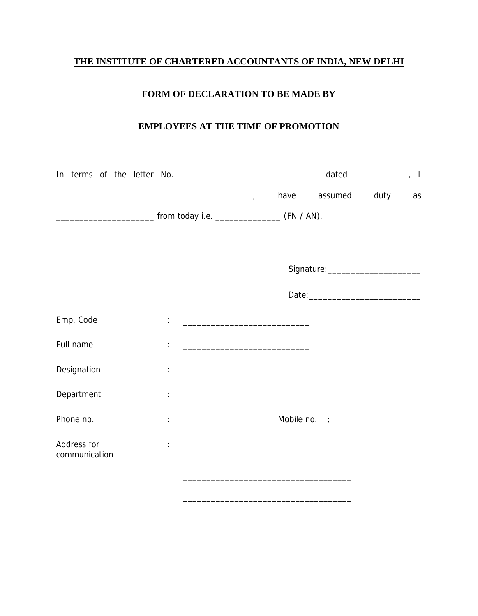# **THE INSTITUTE OF CHARTERED ACCOUNTANTS OF INDIA, NEW DELHI**

# **FORM OF DECLARATION TO BE MADE BY**

### **EMPLOYEES AT THE TIME OF PROMOTION**

|                              | and the contract of the contract of the contract of the contract of the contract of the contract of the contract of the contract of the contract of the contract of the contract of the contract of the contract of the contra | have                                                                                                                 | assumed | duty | as |
|------------------------------|--------------------------------------------------------------------------------------------------------------------------------------------------------------------------------------------------------------------------------|----------------------------------------------------------------------------------------------------------------------|---------|------|----|
|                              |                                                                                                                                                                                                                                |                                                                                                                      |         |      |    |
|                              |                                                                                                                                                                                                                                |                                                                                                                      |         |      |    |
|                              |                                                                                                                                                                                                                                |                                                                                                                      |         |      |    |
|                              |                                                                                                                                                                                                                                |                                                                                                                      |         |      |    |
| Emp. Code                    |                                                                                                                                                                                                                                |                                                                                                                      |         |      |    |
| Full name                    |                                                                                                                                                                                                                                | <u> 1989 - Johann Barn, mars eta bainar eta industrial eta erromania eta erromania eta erromania eta erromania e</u> |         |      |    |
| Designation                  |                                                                                                                                                                                                                                |                                                                                                                      |         |      |    |
| Department                   |                                                                                                                                                                                                                                | <u> 1989 - Johann Barbara, martxa alemaniar a</u>                                                                    |         |      |    |
| Phone no.                    |                                                                                                                                                                                                                                | <u> 1990 - Johann Barbara, martin a</u>                                                                              |         |      |    |
| Address for<br>communication |                                                                                                                                                                                                                                | and the control of the control of the control of the control of the control of the control of the control of the     |         |      |    |
|                              |                                                                                                                                                                                                                                |                                                                                                                      |         |      |    |
|                              |                                                                                                                                                                                                                                |                                                                                                                      |         |      |    |

\_\_\_\_\_\_\_\_\_\_\_\_\_\_\_\_\_\_\_\_\_\_\_\_\_\_\_\_\_\_\_\_\_\_\_\_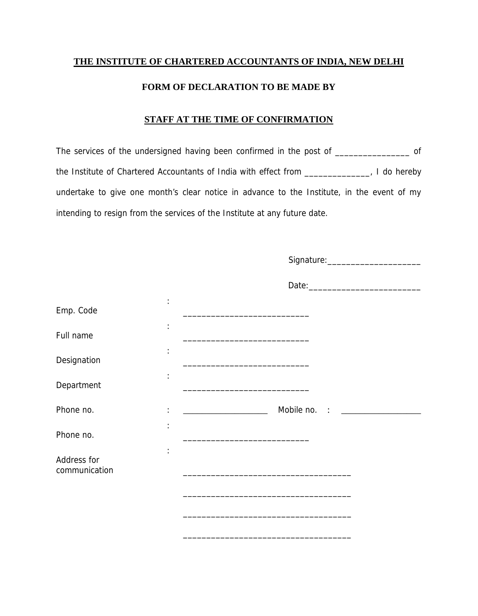### **THE INSTITUTE OF CHARTERED ACCOUNTANTS OF INDIA, NEW DELHI**

#### **FORM OF DECLARATION TO BE MADE BY**

#### **STAFF AT THE TIME OF CONFIRMATION**

The services of the undersigned having been confirmed in the post of \_\_\_\_\_\_\_\_\_\_\_\_\_\_\_\_\_\_ of the Institute of Chartered Accountants of India with effect from \_\_\_\_\_\_\_\_\_\_\_\_\_\_, I do hereby undertake to give one month's clear notice in advance to the Institute, in the event of my intending to resign from the services of the Institute at any future date.

|                              |                      | Signature: _________________________                                                                                          |
|------------------------------|----------------------|-------------------------------------------------------------------------------------------------------------------------------|
|                              |                      |                                                                                                                               |
| Emp. Code                    | ÷                    |                                                                                                                               |
| Full name                    | $\ddot{\cdot}$       | <u> 1989 - Johann John Stein, mars eta biztanleria (</u>                                                                      |
| Designation                  |                      | <u> 1980 - Jan James James Barnett, amerikan bizko arteko arteko arteko arteko arteko arteko arteko arteko arteko</u>         |
| Department                   | $\ddot{\phantom{a}}$ | the control of the control of the control of the control of the control of the control of                                     |
| Phone no.                    |                      | Mobile no. : __________                                                                                                       |
| Phone no.                    |                      | <u> 1989 - Johann Barbara, martin amerikan basar dan bagi dan bagi dalam bagi dalam bagi dalam bagi dalam bagi da</u>         |
| Address for<br>communication |                      | <u> 1980 - Johann John Stone, mars et al. (1980)</u>                                                                          |
|                              |                      | <u> 1989 - Johann John Stone, mars et al. 1989 - John Stone, mars et al. 1989 - John Stone, mars et al. 1989 - John Stone</u> |
|                              |                      |                                                                                                                               |